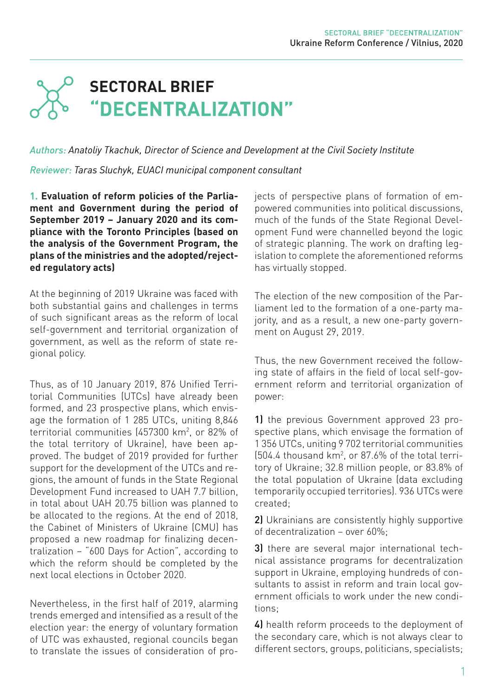# **SECTORAL BRIEF "DECENTRALIZATION"**

*Authors: Anatoliy Tkachuk, Director of Science and Development at the Civil Society Institute* 

*Reviewer: Taras Sluchyk, EUACI municipal component consultant*

**1. Evaluation of reform policies of the Parliament and Government during the period of September 2019 – January 2020 and its compliance with the Toronto Principles (based on the analysis of the Government Program, the plans of the ministries and the adopted/rejected regulatory acts)**

At the beginning of 2019 Ukraine was faced with both substantial gains and challenges in terms of such significant areas as the reform of local self-government and territorial organization of government, as well as the reform of state regional policy.

Thus, as of 10 January 2019, 876 Unified Territorial Communities (UTCs) have already been formed, and 23 prospective plans, which envisage the formation of 1 285 UTCs, uniting 8,846 territorial communities (457300 km2 , or 82% of the total territory of Ukraine), have been approved. The budget of 2019 provided for further support for the development of the UTCs and regions, the amount of funds in the State Regional Development Fund increased to UAH 7.7 billion, in total about UAH 20.75 billion was planned to be allocated to the regions. At the end of 2018, the Cabinet of Ministers of Ukraine (CMU) has proposed a new roadmap for finalizing decentralization – "600 Days for Action", according to which the reform should be completed by the next local elections in October 2020.

Nevertheless, in the first half of 2019, alarming trends emerged and intensified as a result of the election year: the energy of voluntary formation of UTC was exhausted, regional councils began to translate the issues of consideration of projects of perspective plans of formation of empowered communities into political discussions, much of the funds of the State Regional Development Fund were channelled beyond the logic of strategic planning. The work on drafting legislation to complete the aforementioned reforms has virtually stopped.

The election of the new composition of the Parliament led to the formation of a one-party majority, and as a result, a new one-party government on August 29, 2019.

Thus, the new Government received the following state of affairs in the field of local self-government reform and territorial organization of power:

1) the previous Government approved 23 prospective plans, which envisage the formation of 1 356 UTCs, uniting 9 702 territorial communities (504.4 thousand km2 , or 87.6% of the total territory of Ukraine; 32.8 million people, or 83.8% of the total population of Ukraine (data excluding temporarily occupied territories). 936 UTCs were created;

2) Ukrainians are consistently highly supportive of decentralization – over 60%;

3) there are several major international technical assistance programs for decentralization support in Ukraine, employing hundreds of consultants to assist in reform and train local government officials to work under the new conditions;

4) health reform proceeds to the deployment of the secondary care, which is not always clear to different sectors, groups, politicians, specialists;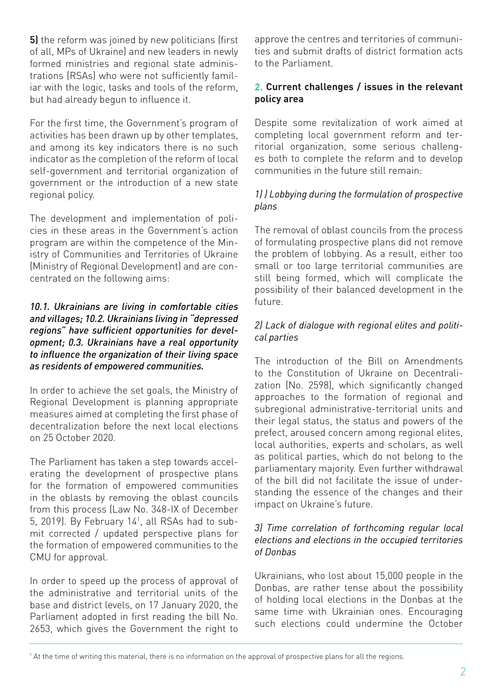5) the reform was joined by new politicians (first of all, MPs of Ukraine) and new leaders in newly formed ministries and regional state administrations (RSAs) who were not sufficiently familiar with the logic, tasks and tools of the reform, but had already begun to influence it.

For the first time, the Government's program of activities has been drawn up by other templates, and among its key indicators there is no such indicator as the completion of the reform of local self-government and territorial organization of government or the introduction of a new state regional policy.

The development and implementation of policies in these areas in the Government's action program are within the competence of the Ministry of Communities and Territories of Ukraine (Ministry of Regional Development) and are concentrated on the following aims:

#### *10.1. Ukrainians are living in comfortable cities and villages; 10.2. Ukrainians living in "depressed regions" have sufficient opportunities for development; 0.3. Ukrainians have a real opportunity to influence the organization of their living space as residents of empowered communities.*

In order to achieve the set goals, the Ministry of Regional Development is planning appropriate measures aimed at completing the first phase of decentralization before the next local elections on 25 October 2020.

The Parliament has taken a step towards accelerating the development of prospective plans for the formation of empowered communities in the oblasts by removing the oblast councils from this process (Law No. 348-IX of December 5, 2019). By February 141 , all RSAs had to submit corrected / updated perspective plans for the formation of empowered communities to the CMU for approval.

In order to speed up the process of approval of the administrative and territorial units of the base and district levels, on 17 January 2020, the Parliament adopted in first reading the bill No. 2653, which gives the Government the right to approve the centres and territories of communities and submit drafts of district formation acts to the Parliament.

## **2. Current challenges / issues in the relevant policy area**

Despite some revitalization of work aimed at completing local government reform and territorial organization, some serious challenges both to complete the reform and to develop communities in the future still remain:

### *1) ) Lobbying during the formulation of prospective plans*

The removal of oblast councils from the process of formulating prospective plans did not remove the problem of lobbying. As a result, either too small or too large territorial communities are still being formed, which will complicate the possibility of their balanced development in the future.

### *2) Lack of dialogue with regional elites and political parties*

The introduction of the Bill on Amendments to the Constitution of Ukraine on Decentralization (No. 2598), which significantly changed approaches to the formation of regional and subregional administrative-territorial units and their legal status, the status and powers of the prefect, aroused concern among regional elites, local authorities, experts and scholars, as well as political parties, which do not belong to the parliamentary majority. Even further withdrawal of the bill did not facilitate the issue of understanding the essence of the changes and their impact on Ukraine's future.

### *3) Time correlation of forthcoming regular local elections and elections in the occupied territories of Donbas*

Ukrainians, who lost about 15,000 people in the Donbas, are rather tense about the possibility of holding local elections in the Donbas at the same time with Ukrainian ones. Encouraging such elections could undermine the October

<sup>&</sup>lt;sup>1</sup> At the time of writing this material, there is no information on the approval of prospective plans for all the regions.